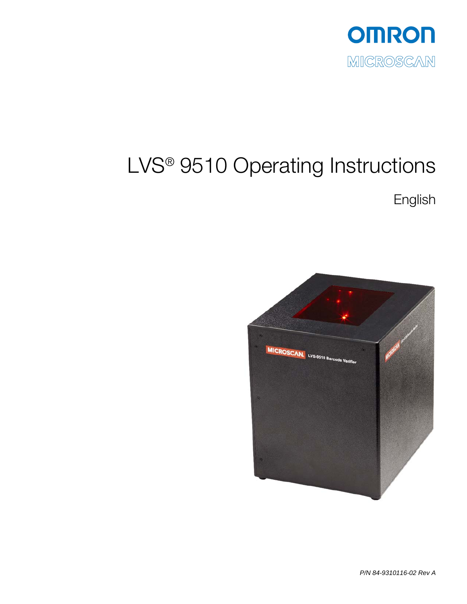

# LVS® 9510 Operating Instructions

English

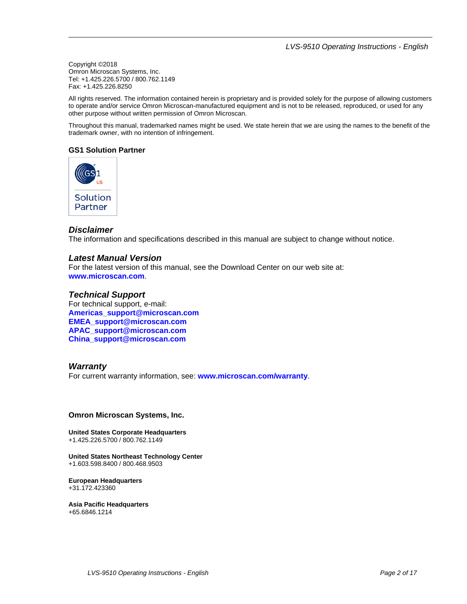Copyright ©2018 Omron Microscan Systems, Inc. Tel: +1.425.226.5700 / 800.762.1149 Fax: +1.425.226.8250

All rights reserved. The information contained herein is proprietary and is provided solely for the purpose of allowing customers to operate and/or service Omron Microscan-manufactured equipment and is not to be released, reproduced, or used for any other purpose without written permission of Omron Microscan.

Throughout this manual, trademarked names might be used. We state herein that we are using the names to the benefit of the trademark owner, with no intention of infringement.

#### **GS1 Solution Partner**



#### *Disclaimer*

The information and specifications described in this manual are subject to change without notice.

#### *Latest Manual Version*

For the latest version of this manual, see the Download Center on our web site at: **www.microscan.com**.

#### *Technical Support*

For technical support, e-mail: **Americas\_support@microscan.com EMEA\_support@microscan.com APAC\_support@microscan.com China\_support@microscan.com**

#### *Warranty*

For current warranty information, see: **www.microscan.com/warranty**.

#### **Omron Microscan Systems, Inc.**

**United States Corporate Headquarters**  +1.425.226.5700 / 800.762.1149

**United States Northeast Technology Center**  +1.603.598.8400 / 800.468.9503

**European Headquarters**  +31.172.423360

**Asia Pacific Headquarters**  +65.6846.1214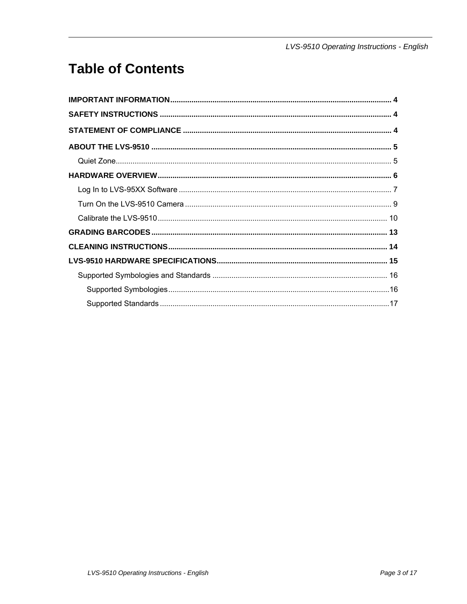### **Table of Contents**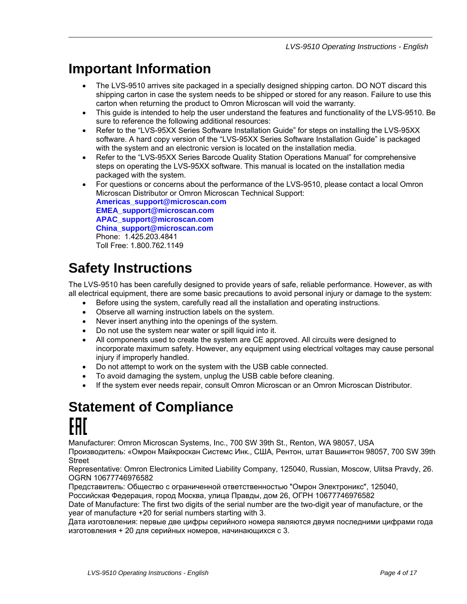### **Important Information**

- The LVS-9510 arrives site packaged in a specially designed shipping carton. DO NOT discard this shipping carton in case the system needs to be shipped or stored for any reason. Failure to use this carton when returning the product to Omron Microscan will void the warranty.
- This guide is intended to help the user understand the features and functionality of the LVS-9510. Be sure to reference the following additional resources:
- Refer to the "LVS-95XX Series Software Installation Guide" for steps on installing the LVS-95XX software. A hard copy version of the "LVS-95XX Series Software Installation Guide" is packaged with the system and an electronic version is located on the installation media.
- Refer to the "LVS-95XX Series Barcode Quality Station Operations Manual" for comprehensive steps on operating the LVS-95XX software. This manual is located on the installation media packaged with the system.
- For questions or concerns about the performance of the LVS-9510, please contact a local Omron Microscan Distributor or Omron Microscan Technical Support:

**Americas\_support@microscan.com EMEA\_support@microscan.com APAC\_support@microscan.com China\_support@microscan.com** Phone: 1.425.203.4841 Toll Free: 1.800.762.1149

### **Safety Instructions**

The LVS-9510 has been carefully designed to provide years of safe, reliable performance. However, as with all electrical equipment, there are some basic precautions to avoid personal injury or damage to the system:

- Before using the system, carefully read all the installation and operating instructions.
- Observe all warning instruction labels on the system.
- Never insert anything into the openings of the system.
- Do not use the system near water or spill liquid into it.
- All components used to create the system are CE approved. All circuits were designed to incorporate maximum safety. However, any equipment using electrical voltages may cause personal injury if improperly handled.
- Do not attempt to work on the system with the USB cable connected.
- To avoid damaging the system, unplug the USB cable before cleaning.
- If the system ever needs repair, consult Omron Microscan or an Omron Microscan Distributor.

## **Statement of Compliance**  AH I

Manufacturer: Omron Microscan Systems, Inc., 700 SW 39th St., Renton, WA 98057, USA

Производитель: «Омрон Майкроскан Системс Инк., США, Рентон, штат Вашингтон 98057, 700 SW 39th **Street** 

Representative: Omron Electronics Limited Liability Company, 125040, Russian, Moscow, Ulitsa Pravdy, 26. OGRN 10677746976582

Представитель: Общество с ограниченной ответственностью "Омрон Электроникс", 125040,

Российская Федерация, город Москва, улица Правды, дом 26, ОГРН 10677746976582

Date of Manufacture: The first two digits of the serial number are the two-digit year of manufacture, or the year of manufacture +20 for serial numbers starting with 3.

Дата изготовления: первые две цифры серийного номера являются двумя последними цифрами года изготовления + 20 для серийных номеров, начинающихся с 3.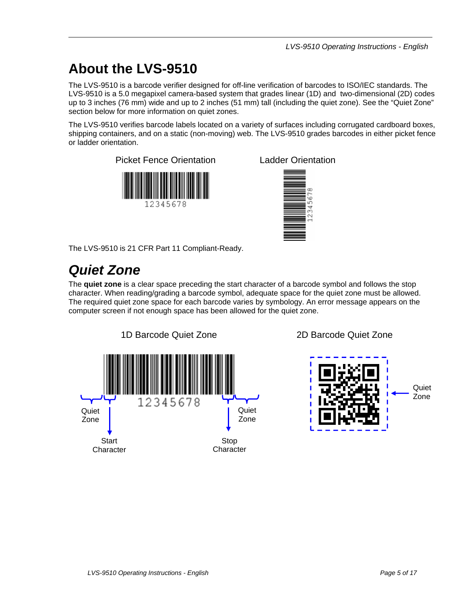### **About the LVS-9510**

The LVS-9510 is a barcode verifier designed for off-line verification of barcodes to ISO/IEC standards. The LVS-9510 is a 5.0 megapixel camera-based system that grades linear (1D) and two-dimensional (2D) codes up to 3 inches (76 mm) wide and up to 2 inches (51 mm) tall (including the quiet zone). See the "Quiet Zone" section below for more information on quiet zones.

The LVS-9510 verifies barcode labels located on a variety of surfaces including corrugated cardboard boxes, shipping containers, and on a static (non-moving) web. The LVS-9510 grades barcodes in either picket fence or ladder orientation.

Picket Fence Orientation Ladder Orientation





The LVS-9510 is 21 CFR Part 11 Compliant-Ready.

### *Quiet Zone*

The **quiet zone** is a clear space preceding the start character of a barcode symbol and follows the stop character. When reading/grading a barcode symbol, adequate space for the quiet zone must be allowed. The required quiet zone space for each barcode varies by symbology. An error message appears on the computer screen if not enough space has been allowed for the quiet zone.



1D Barcode Quiet Zone 2D Barcode Quiet Zone

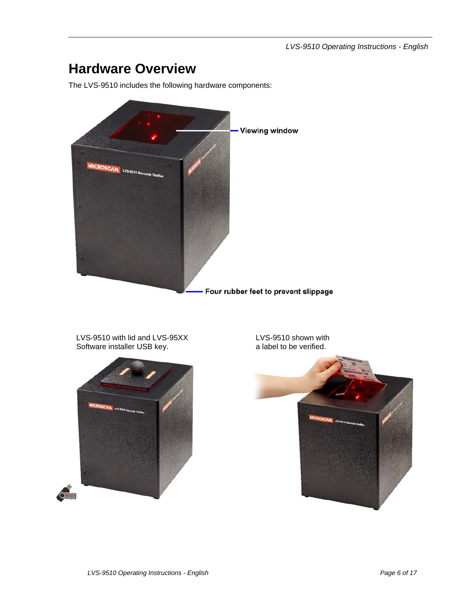### **Hardware Overview**

The LVS-9510 includes the following hardware components:



LVS-9510 with lid and LVS-95XX Software installer USB key.



LVS-9510 shown with a label to be verified.

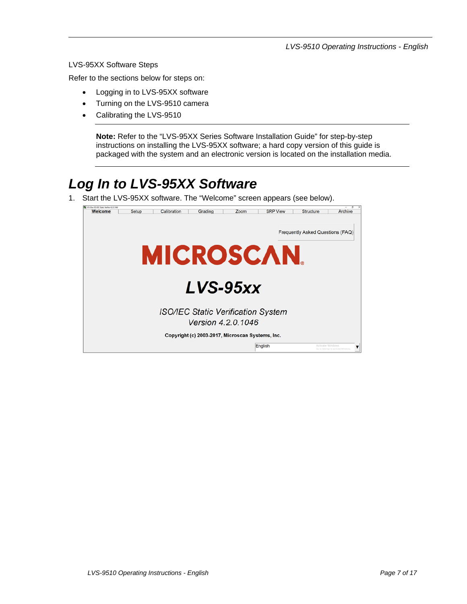#### LVS-95XX Software Steps

Refer to the sections below for steps on:

- Logging in to LVS-95XX software
- Turning on the LVS-9510 camera
- Calibrating the LVS-9510

**Note:** Refer to the "LVS-95XX Series Software Installation Guide" for step-by-step instructions on installing the LVS-95XX software; a hard copy version of this guide is packaged with the system and an electronic version is located on the installation media.

### *Log In to LVS-95XX Software*

1. Start the LVS-95XX software. The "Welcome" screen appears (see below).

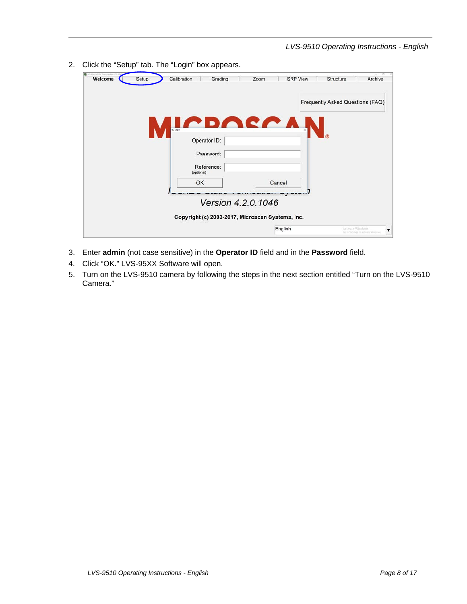2. Click the "Setup" tab. The "Login" box appears.

| Welcome<br>Setup | Calibration<br>Grading                           | Zoom               | <b>SRP View</b> | Structure                        | Archive |
|------------------|--------------------------------------------------|--------------------|-----------------|----------------------------------|---------|
|                  |                                                  |                    |                 | Frequently Asked Questions (FAQ) |         |
|                  | <b>Q</b> Legin<br>Operator ID:                   | DACC'A             |                 |                                  |         |
|                  | Password:                                        |                    |                 |                                  |         |
|                  | Reference:<br>(optional)                         |                    |                 |                                  |         |
|                  | OK                                               | Cancel             |                 |                                  |         |
|                  |                                                  |                    |                 |                                  |         |
|                  |                                                  | Version 4.2.0.1046 |                 |                                  |         |
|                  | Copyright (c) 2003-2017, Microscan Systems, Inc. |                    |                 |                                  |         |
|                  |                                                  | English            |                 | Activate Windows                 |         |

- 3. Enter **admin** (not case sensitive) in the **Operator ID** field and in the **Password** field.
- 4. Click "OK." LVS-95XX Software will open.
- 5. Turn on the LVS-9510 camera by following the steps in the next section entitled "Turn on the LVS-9510 Camera."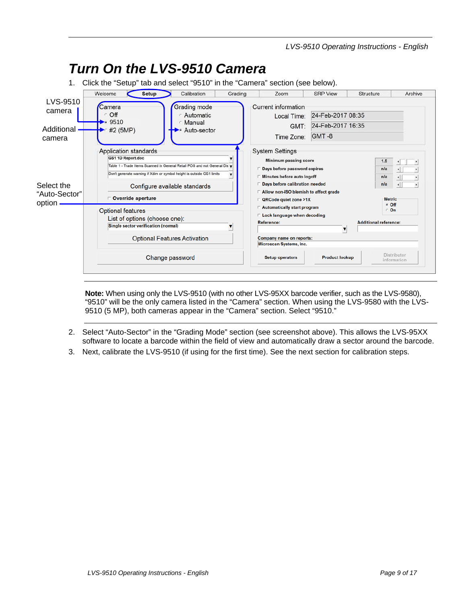

**Note:** When using only the LVS-9510 (with no other LVS-95XX barcode verifier, such as the LVS-9580), "9510" will be the only camera listed in the "Camera" section. When using the LVS-9580 with the LVS-9510 (5 MP), both cameras appear in the "Camera" section. Select "9510."

- 2. Select "Auto-Sector" in the "Grading Mode" section (see screenshot above). This allows the LVS-95XX software to locate a barcode within the field of view and automatically draw a sector around the barcode.
- 3. Next, calibrate the LVS-9510 (if using for the first time). See the next section for calibration steps.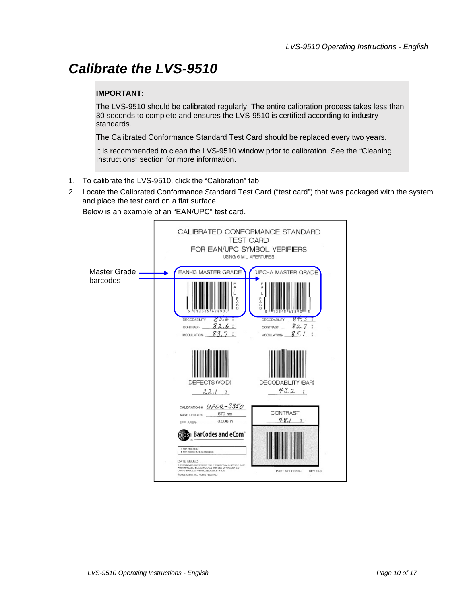### *Calibrate the LVS-9510*

#### **IMPORTANT:**

The LVS-9510 should be calibrated regularly. The entire calibration process takes less than 30 seconds to complete and ensures the LVS-9510 is certified according to industry standards.

The Calibrated Conformance Standard Test Card should be replaced every two years.

It is recommended to clean the LVS-9510 window prior to calibration. See the "Cleaning Instructions" section for more information.

- 1. To calibrate the LVS-9510, click the "Calibration" tab.
- 2. Locate the Calibrated Conformance Standard Test Card ("test card") that was packaged with the system and place the test card on a flat surface.

Below is an example of an "EAN/UPC" test card.

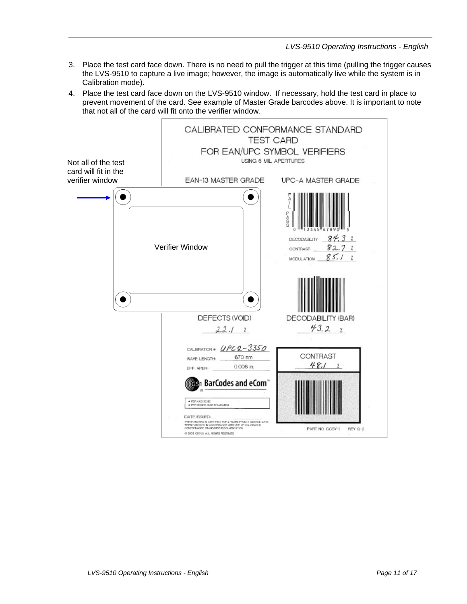- 3. Place the test card face down. There is no need to pull the trigger at this time (pulling the trigger causes the LVS-9510 to capture a live image; however, the image is automatically live while the system is in Calibration mode).
- 4. Place the test card face down on the LVS-9510 window. If necessary, hold the test card in place to prevent movement of the card. See example of Master Grade barcodes above. It is important to note that not all of the card will fit onto the verifier window.

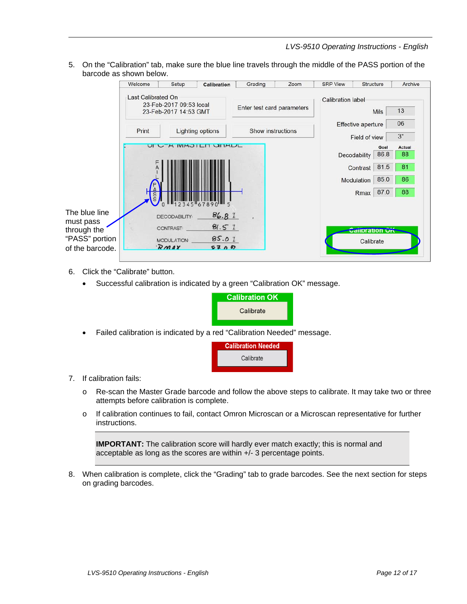5. On the "Calibration" tab, make sure the blue line travels through the middle of the PASS portion of the barcode as shown below.

|                          | Welcome                                          | Setup                    | Calibration             | Grading                    | Zoom | <b>SRP View</b>          | Structure             |      | Archive |  |
|--------------------------|--------------------------------------------------|--------------------------|-------------------------|----------------------------|------|--------------------------|-----------------------|------|---------|--|
|                          | <b>Last Calibrated On</b>                        |                          |                         |                            |      | <b>Calibration label</b> |                       |      |         |  |
|                          | 23-Feb-2017 09:53 local<br>23-Feb-2017 14:53 GMT |                          |                         | Enter test card parameters |      | <b>Mils</b>              |                       |      | 13      |  |
|                          |                                                  |                          |                         |                            |      |                          | Effective aperture    |      | 06      |  |
|                          | Print                                            |                          | <b>Lighting options</b> | Show instructions          |      |                          | Field of view         |      | 3"      |  |
|                          |                                                  | UI UTA IVIAJILIT UITALIL |                         |                            |      |                          |                       | Goal | Actual  |  |
|                          |                                                  |                          |                         |                            |      |                          | Decodability          | 86.8 | 88      |  |
|                          |                                                  |                          |                         |                            |      |                          | Contrast              | 81.5 | 81      |  |
|                          |                                                  |                          |                         |                            |      |                          | Modulation            | 85.0 | 86      |  |
|                          | S<br>S                                           |                          |                         |                            |      |                          | Rmax                  | 87.0 | 88      |  |
|                          |                                                  |                          |                         |                            |      |                          |                       |      |         |  |
| The blue line            |                                                  | <b>DECODABILITY:</b>     | 86.8%                   |                            |      |                          |                       |      |         |  |
| must pass<br>through the |                                                  | CONTRAST:                | 81.5%                   |                            |      |                          | <b>Calibration OK</b> |      |         |  |
| "PASS" portion           |                                                  | <b>MODULATION:</b>       | 85.0%                   |                            |      |                          | Calibrate             |      |         |  |
| of the barcode.          |                                                  | RMAY                     | 5700                    |                            |      |                          |                       |      |         |  |

- 6. Click the "Calibrate" button.
	- Successful calibration is indicated by a green "Calibration OK" message.



Failed calibration is indicated by a red "Calibration Needed" message.



- 7. If calibration fails:
	- o Re-scan the Master Grade barcode and follow the above steps to calibrate. It may take two or three attempts before calibration is complete.
	- o If calibration continues to fail, contact Omron Microscan or a Microscan representative for further instructions.

**IMPORTANT:** The calibration score will hardly ever match exactly; this is normal and acceptable as long as the scores are within +/- 3 percentage points.

8. When calibration is complete, click the "Grading" tab to grade barcodes. See the next section for steps on grading barcodes.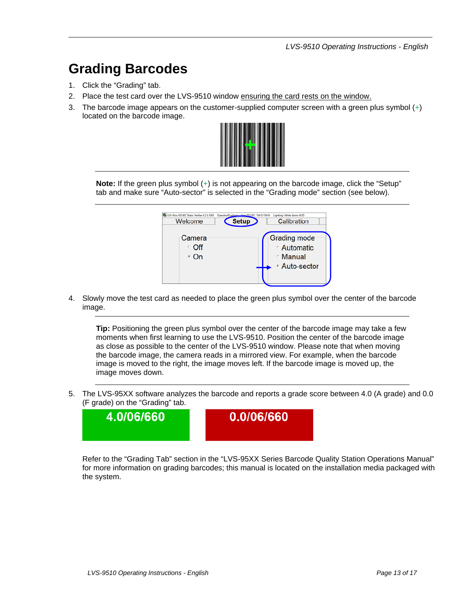### **Grading Barcodes**

- 1. Click the "Grading" tab.
- 2. Place the test card over the LVS-9510 window ensuring the card rests on the window.
- 3. The barcode image appears on the customer-supplied computer screen with a green plus symbol  $(+)$ located on the barcode image.



**Note:** If the green plus symbol (+) is not appearing on the barcode image, click the "Setup" tab and make sure "Auto-sector" is selected in the "Grading mode" section (see below).



4. Slowly move the test card as needed to place the green plus symbol over the center of the barcode image.

**Tip:** Positioning the green plus symbol over the center of the barcode image may take a few moments when first learning to use the LVS-9510. Position the center of the barcode image as close as possible to the center of the LVS-9510 window. Please note that when moving the barcode image, the camera reads in a mirrored view. For example, when the barcode image is moved to the right, the image moves left. If the barcode image is moved up, the image moves down.

5. The LVS-95XX software analyzes the barcode and reports a grade score between 4.0 (A grade) and 0.0 (F grade) on the "Grading" tab.



Refer to the "Grading Tab" section in the "LVS-95XX Series Barcode Quality Station Operations Manual" for more information on grading barcodes; this manual is located on the installation media packaged with the system.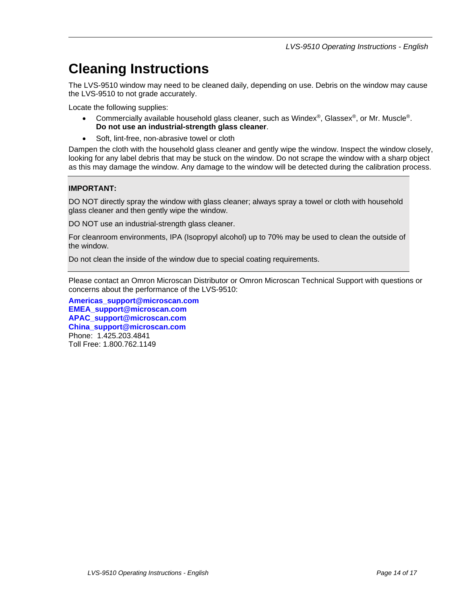### **Cleaning Instructions**

The LVS-9510 window may need to be cleaned daily, depending on use. Debris on the window may cause the LVS-9510 to not grade accurately.

Locate the following supplies:

- Commercially available household glass cleaner, such as Windex<sup>®</sup>, Glassex<sup>®</sup>, or Mr. Muscle<sup>®</sup>. **Do not use an industrial-strength glass cleaner**.
- Soft, lint-free, non-abrasive towel or cloth

Dampen the cloth with the household glass cleaner and gently wipe the window. Inspect the window closely, looking for any label debris that may be stuck on the window. Do not scrape the window with a sharp object as this may damage the window. Any damage to the window will be detected during the calibration process.

#### **IMPORTANT:**

DO NOT directly spray the window with glass cleaner; always spray a towel or cloth with household glass cleaner and then gently wipe the window.

DO NOT use an industrial-strength glass cleaner.

For cleanroom environments, IPA (Isopropyl alcohol) up to 70% may be used to clean the outside of the window.

Do not clean the inside of the window due to special coating requirements.

Please contact an Omron Microscan Distributor or Omron Microscan Technical Support with questions or concerns about the performance of the LVS-9510:

**Americas\_support@microscan.com EMEA\_support@microscan.com APAC\_support@microscan.com China\_support@microscan.com** Phone: 1.425.203.4841 Toll Free: 1.800.762.1149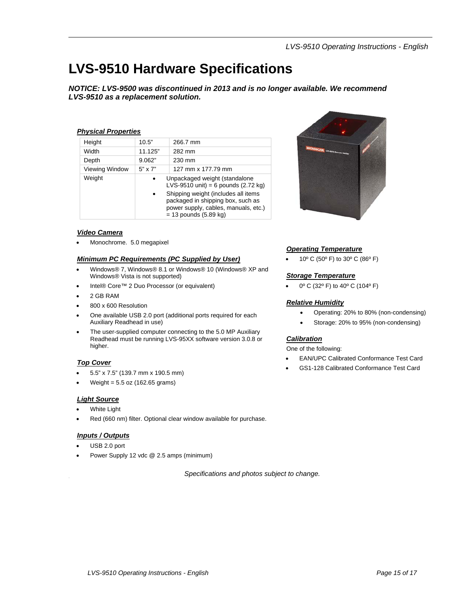### **LVS-9510 Hardware Specifications**

*NOTICE: LVS-9500 was discontinued in 2013 and is no longer available. We recommend LVS-9510 as a replacement solution.* 

#### *Physical Properties*

| Height         | 10.5"                                                                                                                                       | 266.7 mm           |  |
|----------------|---------------------------------------------------------------------------------------------------------------------------------------------|--------------------|--|
| Width          | 11.125"                                                                                                                                     | 282 mm             |  |
| Depth          | 9.062"                                                                                                                                      | 230 mm             |  |
| Viewing Window | $5" \times 7"$                                                                                                                              | 127 mm x 177.79 mm |  |
| Weight         | Unpackaged weight (standalone<br>LVS-9510 unit) = 6 pounds $(2.72 \text{ kg})$                                                              |                    |  |
|                | Shipping weight (includes all items<br>packaged in shipping box, such as<br>power supply, cables, manuals, etc.)<br>$= 13$ pounds (5.89 kg) |                    |  |



#### *Video Camera*

Monochrome. 5.0 megapixel

#### *Minimum PC Requirements (PC Supplied by User)*

- Windows® 7, Windows® 8.1 or Windows® 10 (Windows® XP and Windows® Vista is not supported)
- Intel® Core™ 2 Duo Processor (or equivalent)
- 2 GB RAM
- 800 x 600 Resolution
- One available USB 2.0 port (additional ports required for each Auxiliary Readhead in use)
- The user-supplied computer connecting to the 5.0 MP Auxiliary Readhead must be running LVS-95XX software version 3.0.8 or higher.

#### *Top Cover*

- 5.5" x 7.5" (139.7 mm x 190.5 mm)
- Weight = 5.5 oz (162.65 grams)

#### *Light Source*

- White Light
- Red (660 nm) filter. Optional clear window available for purchase.

#### *Inputs / Outputs*

- USB 2.0 port
- Power Supply 12 vdc @ 2.5 amps (minimum)

*Specifications and photos subject to change.* 

#### *Operating Temperature*

10º C (50º F) to 30º C (86º F)

#### *Storage Temperature*

0º C (32º F) to 40º C (104º F)

#### *Relative Humidity*

- Operating: 20% to 80% (non-condensing)
- Storage: 20% to 95% (non-condensing)

#### *Calibration*

- One of the following:
- EAN/UPC Calibrated Conformance Test Card
- GS1-128 Calibrated Conformance Test Card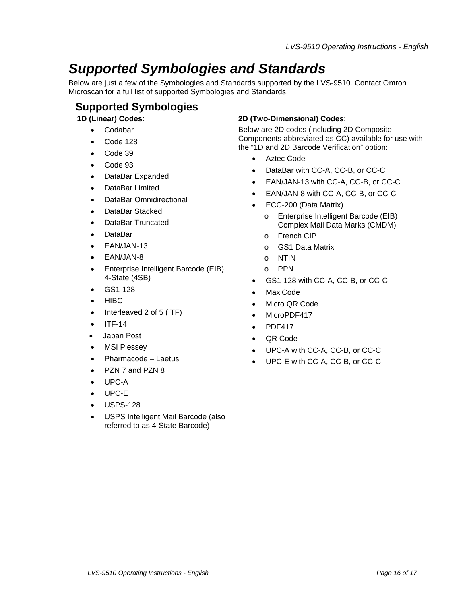### *Supported Symbologies and Standards*

Below are just a few of the Symbologies and Standards supported by the LVS-9510. Contact Omron Microscan for a full list of supported Symbologies and Standards.

### **Supported Symbologies**

**1D (Linear) Codes**:

- Codabar
- Code 128
- Code 39
- Code 93
- DataBar Expanded
- DataBar Limited
- DataBar Omnidirectional
- DataBar Stacked
- DataBar Truncated
- DataBar
- EAN/JAN-13
- EAN/JAN-8
- Enterprise Intelligent Barcode (EIB) 4-State (4SB)
- GS1-128
- **HIBC**
- Interleaved 2 of 5 (ITF)
- ITF-14
- Japan Post
- MSI Plessey
- Pharmacode Laetus
- PZN 7 and PZN 8
- UPC-A
- UPC-E
- USPS-128
- USPS Intelligent Mail Barcode (also referred to as 4-State Barcode)

### **2D (Two-Dimensional) Codes**:

Below are 2D codes (including 2D Composite Components abbreviated as CC) available for use with the "1D and 2D Barcode Verification" option:

- Aztec Code
- DataBar with CC-A, CC-B, or CC-C
- EAN/JAN-13 with CC-A, CC-B, or CC-C
- EAN/JAN-8 with CC-A, CC-B, or CC-C
- ECC-200 (Data Matrix)
	- o Enterprise Intelligent Barcode (EIB) Complex Mail Data Marks (CMDM)
	- o French CIP
	- o GS1 Data Matrix
	- o NTIN
	- o PPN
- GS1-128 with CC-A, CC-B, or CC-C
- MaxiCode
- Micro QR Code
- MicroPDF417
- PDF417
- QR Code
- UPC-A with CC-A, CC-B, or CC-C
- UPC-E with CC-A, CC-B, or CC-C